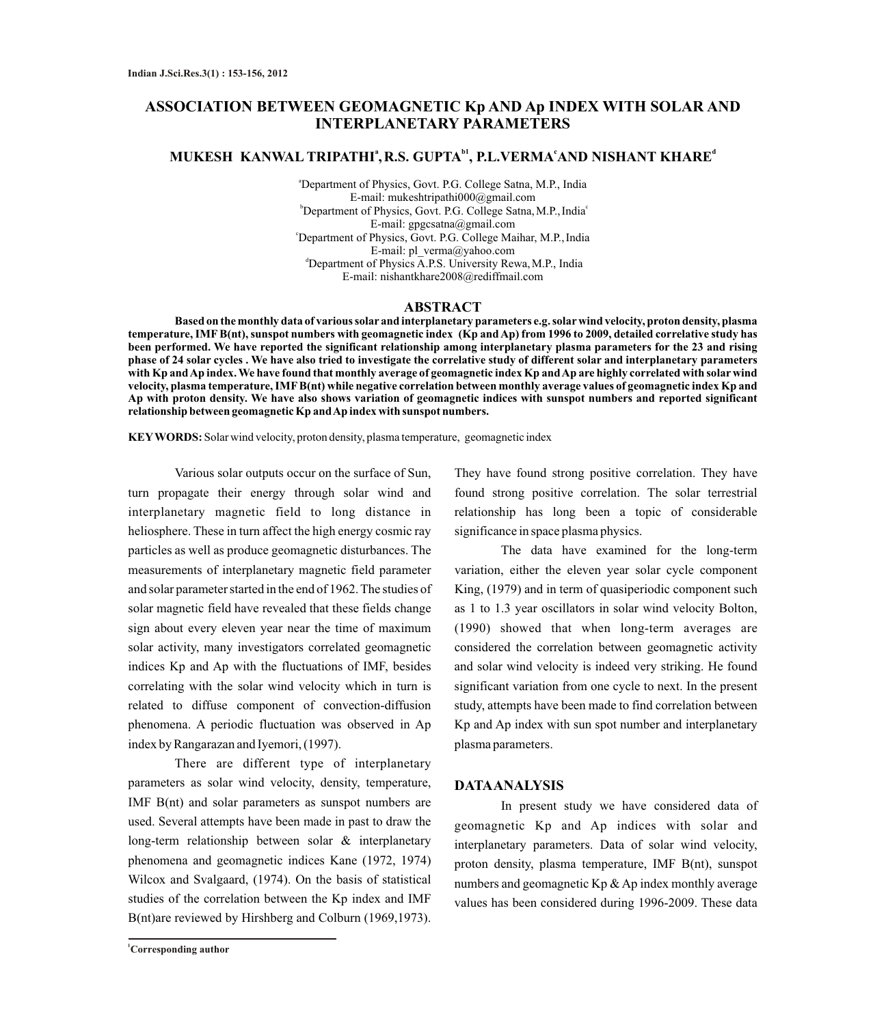# **ASSOCIATION BETWEEN GEOMAGNETIC Kp AND Ap INDEX WITH SOLAR AND INTERPLANETARY PARAMETERS**

# **<sup>a</sup> b1 <sup>c</sup> <sup>d</sup> MUKESH KANWAL TRIPATHI ,R.S. GUPTA , P.L.VERMA AND NISHANT KHARE**

<sup>a</sup>Department of Physics, Govt. P.G. College Satna, M.P., India E-mail: mukeshtripathi000@gmail.com <sup>b</sup> Department of Physics, Govt. P.G. College Satna, M.P., India<sup>c</sup> E-mail: gpgcsatna@gmail.com <sup>c</sup>Department of Physics, Govt. P.G. College Maihar, M.P., India E-mail: pl\_verma@yahoo.com <sup>d</sup>Department of Physics A.P.S. University Rewa, M.P., India E-mail: nishantkhare2008@rediffmail.com

#### **ABSTRACT**

**Based on the monthly data of various solar and interplanetary parameters e.g. solarwind velocity, proton density, plasma temperature, IMFB(nt), sunspot numbers with geomagnetic index (Kp and Ap) from 1996 to 2009, detailed correlative study has been performed. We have reported the significant relationship among interplanetary plasma parameters for the 23 and rising phase of 24 solar cycles . We have also tried to investigate the correlative study of different solar and interplanetary parameters with Kp and Ap index. We have found that monthly average of geomagnetic index Kp and Ap are highly correlated with solar wind velocity, plasma temperature, IMFB(nt) while negative correlation between monthly average values of geomagnetic index Kp and Ap with proton density. We have also shows variation of geomagnetic indices with sunspot numbers and reported significant relationship between geomagnetic Kp and Ap index with sunspot numbers.** 

**KEYWORDS:** Solar wind velocity, proton density, plasma temperature, geomagnetic index

Various solar outputs occur on the surface of Sun, turn propagate their energy through solar wind and interplanetary magnetic field to long distance in heliosphere. These in turn affect the high energy cosmic ray particles as well as produce geomagnetic disturbances. The measurements of interplanetary magnetic field parameter and solar parameter started in the end of 1962. The studies of solar magnetic field have revealed that these fields change sign about every eleven year near the time of maximum solar activity, many investigators correlated geomagnetic indices Kp and Ap with the fluctuations of IMF, besides correlating with the solar wind velocity which in turn is related to diffuse component of convection-diffusion phenomena. A periodic fluctuation was observed in Ap index by Rangarazan and Iyemori, (1997).

There are different type of interplanetary parameters as solar wind velocity, density, temperature, IMF B(nt) and solar parameters as sunspot numbers are used. Several attempts have been made in past to draw the long-term relationship between solar & interplanetary phenomena and geomagnetic indices Kane (1972, 1974) Wilcox and Svalgaard, (1974). On the basis of statistical studies of the correlation between the Kp index and IMF B(nt)are reviewed by Hirshberg and Colburn (1969,1973).

They have found strong positive correlation. They have found strong positive correlation. The solar terrestrial relationship has long been a topic of considerable significance in space plasma physics.

The data have examined for the long-term variation, either the eleven year solar cycle component King, (1979) and in term of quasiperiodic component such as 1 to 1.3 year oscillators in solar wind velocity Bolton, (1990) showed that when long-term averages are considered the correlation between geomagnetic activity and solar wind velocity is indeed very striking. He found significant variation from one cycle to next. In the present study, attempts have been made to find correlation between Kp and Ap index with sun spot number and interplanetary plasma parameters.

#### **DATAANALYSIS**

In present study we have considered data of geomagnetic Kp and Ap indices with solar and interplanetary parameters. Data of solar wind velocity, proton density, plasma temperature, IMF B(nt), sunspot numbers and geomagnetic  $Kp \& Ap$  index monthly average values has been considered during 1996-2009. These data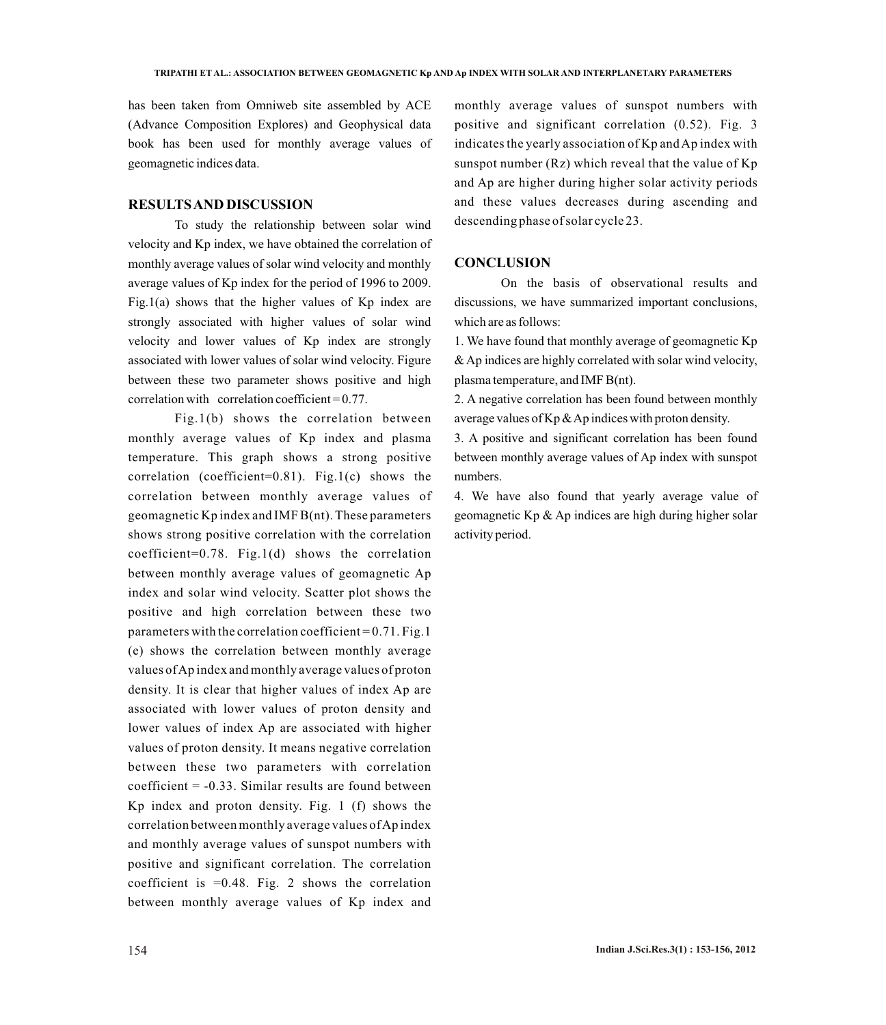has been taken from Omniweb site assembled by ACE (Advance Composition Explores) and Geophysical data book has been used for monthly average values of geomagnetic indices data.

### **RESULTS AND DISCUSSION**

To study the relationship between solar wind velocity and Kp index, we have obtained the correlation of monthly average values of solar wind velocity and monthly average values of Kp index for the period of 1996 to 2009. Fig.1(a) shows that the higher values of  $Kp$  index are strongly associated with higher values of solar wind velocity and lower values of Kp index are strongly associated with lower values of solar wind velocity. Figure between these two parameter shows positive and high correlation with correlation coefficient  $= 0.77$ .

Fig.1(b) shows the correlation between monthly average values of Kp index and plasma temperature. This graph shows a strong positive correlation (coefficient=0.81). Fig.1(c) shows the correlation between monthly average values of geomagnetic Kp index and IMF B(nt). These parameters shows strong positive correlation with the correlation coefficient=0.78. Fig.1(d) shows the correlation between monthly average values of geomagnetic Ap index and solar wind velocity. Scatter plot shows the positive and high correlation between these two parameters with the correlation coefficient =  $0.71$ . Fig. 1 (e) shows the correlation between monthly average values of Ap index and monthly average values of proton density. It is clear that higher values of index Ap are associated with lower values of proton density and lower values of index Ap are associated with higher values of proton density. It means negative correlation between these two parameters with correlation coefficient  $= -0.33$ . Similar results are found between Kp index and proton density. Fig. 1 (f) shows the correlation between monthly average values of Ap index and monthly average values of sunspot numbers with positive and significant correlation. The correlation coefficient is =0.48. Fig. 2 shows the correlation between monthly average values of Kp index and

monthly average values of sunspot numbers with positive and significant correlation (0.52). Fig. 3 indicates the yearly association of Kp and Ap index with sunspot number  $(Rz)$  which reveal that the value of  $Kp$ and Ap are higher during higher solar activity periods and these values decreases during ascending and descending phase of solar cycle 23.

### **CONCLUSION**

On the basis of observational results and discussions, we have summarized important conclusions, which are as follows:

1. We have found that monthly average of geomagnetic Kp & Ap indices are highly correlated with solar wind velocity, plasma temperature, and IMF B(nt).

2. A negative correlation has been found between monthly average values of Kp & Ap indices with proton density.

3. A positive and significant correlation has been found between monthly average values of Ap index with sunspot numbers.

4. We have also found that yearly average value of geomagnetic Kp & Ap indices are high during higher solar activity period.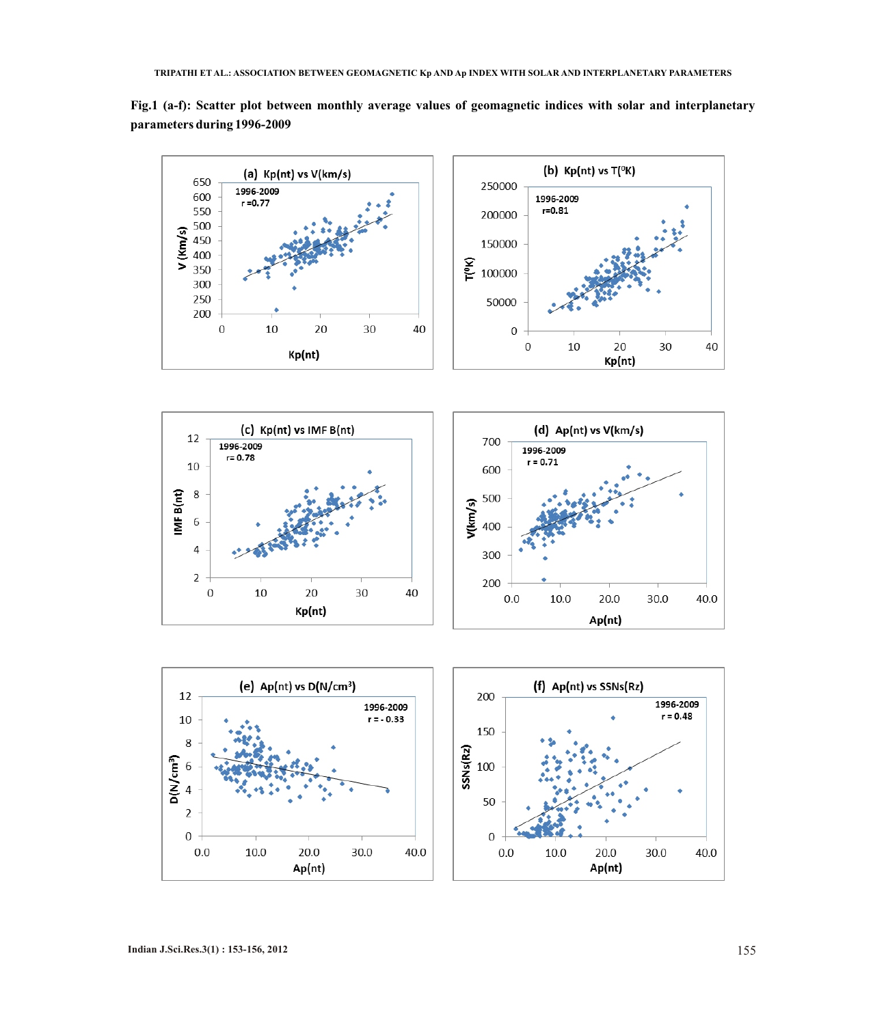

**Fig.1 (a-f): Scatter plot between monthly average values of geomagnetic indices with solar and interplanetary parameters during 1996-2009**